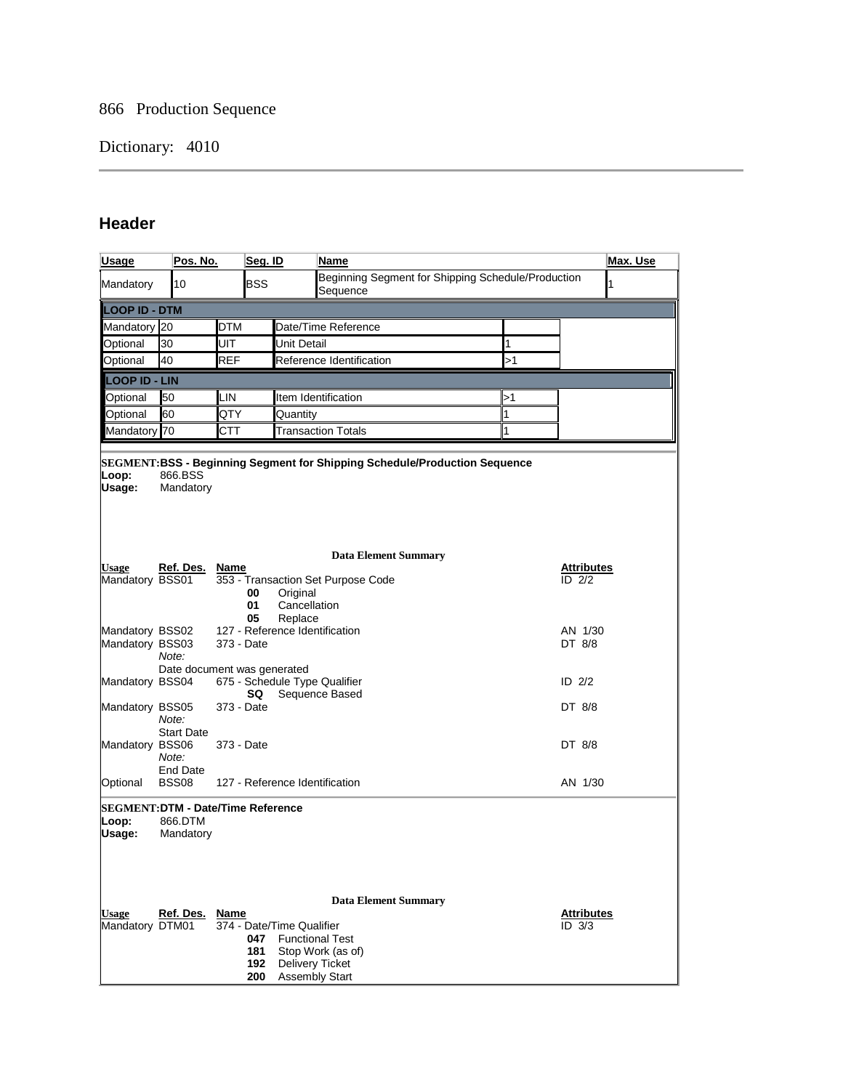## 866 Production Sequence

## Dictionary: 4010

## **Header**

| <b>Usage</b>                                         | Pos. No.                    |            | Seg. ID                  |                                                                              | Name                                                                       |  |              | Max. Use                    |   |
|------------------------------------------------------|-----------------------------|------------|--------------------------|------------------------------------------------------------------------------|----------------------------------------------------------------------------|--|--------------|-----------------------------|---|
| Mandatory                                            | 10                          |            | <b>BSS</b>               |                                                                              | Beginning Segment for Shipping Schedule/Production<br>Sequence             |  |              |                             | 1 |
| <b>LOOP ID - DTM</b>                                 |                             |            |                          |                                                                              |                                                                            |  |              |                             |   |
| Mandatory 20                                         |                             | DTM        |                          |                                                                              | Date/Time Reference                                                        |  |              |                             |   |
| Optional                                             | 30<br>UIT                   |            |                          | Unit Detail                                                                  | 1                                                                          |  |              |                             |   |
| Optional                                             | 40<br>REF                   |            |                          | Reference Identification<br>>1                                               |                                                                            |  |              |                             |   |
| <b>LOOP ID - LIN</b>                                 |                             |            |                          |                                                                              |                                                                            |  |              |                             |   |
| Optional                                             | 50                          | LIN.       |                          |                                                                              | Item Identification                                                        |  | >1           |                             |   |
| Optional                                             | 60                          | QTY        |                          | 1<br>Quantity                                                                |                                                                            |  |              |                             |   |
| Mandatory 70                                         |                             | CTT        |                          |                                                                              | <b>Transaction Totals</b>                                                  |  | $\mathbf{1}$ |                             |   |
| Loop:<br>Usage:                                      | 866.BSS<br>Mandatory        |            |                          |                                                                              | SEGMENT:BSS - Beginning Segment for Shipping Schedule/Production Sequence  |  |              |                             |   |
|                                                      |                             |            |                          |                                                                              | <b>Data Element Summary</b>                                                |  |              |                             |   |
| <b>Usage</b><br>Mandatory BSS01                      | Ref. Des.                   | Name       | 00<br>01<br>05           | Original<br>Cancellation<br>Replace                                          | 353 - Transaction Set Purpose Code                                         |  |              | <b>Attributes</b><br>ID 2/2 |   |
| Mandatory BSS02<br>Mandatory BSS03                   | Note:                       | 373 - Date |                          |                                                                              | 127 - Reference Identification                                             |  |              | AN 1/30<br>DT 8/8           |   |
| Mandatory BSS04                                      | Date document was generated |            | SQ                       |                                                                              | 675 - Schedule Type Qualifier<br>Sequence Based                            |  |              | ID $2/2$                    |   |
| Mandatory BSS05                                      | Note:<br><b>Start Date</b>  | 373 - Date |                          |                                                                              |                                                                            |  |              | DT 8/8                      |   |
| Mandatory BSS06                                      | Note:<br><b>End Date</b>    | 373 - Date |                          |                                                                              |                                                                            |  |              | DT 8/8                      |   |
| Optional                                             | <b>BSS08</b>                |            |                          |                                                                              | 127 - Reference Identification                                             |  |              | AN 1/30                     |   |
| SEGMENT:DTM - Date/Time Reference<br>Loop:<br>Usage: | 866.DTM<br>Mandatory        |            |                          |                                                                              |                                                                            |  |              |                             |   |
| <b>Usage</b><br>Mandatory DTM01                      | Ref. Des.                   | Name       | 047<br>181<br>192<br>200 | 374 - Date/Time Qualifier<br><b>Delivery Ticket</b><br><b>Assembly Start</b> | <b>Data Element Summary</b><br><b>Functional Test</b><br>Stop Work (as of) |  |              | <u>Attributes</u><br>ID 3/3 |   |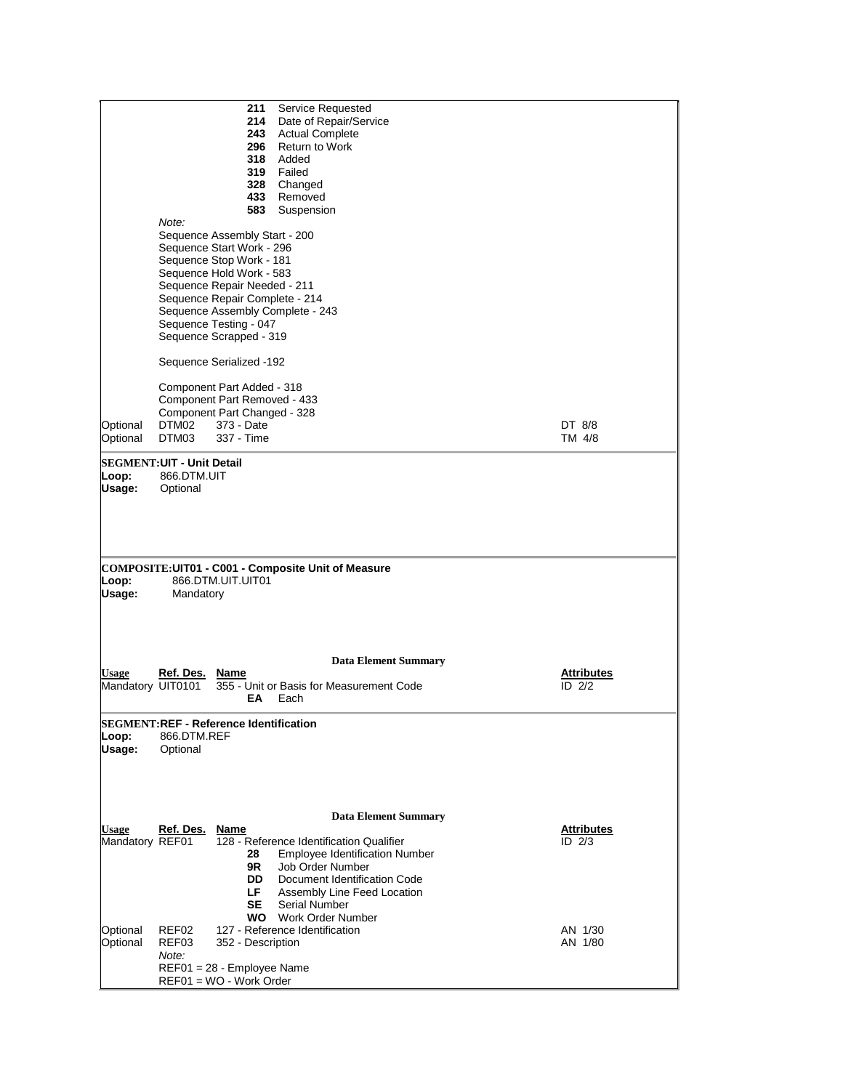|                      |                                  | 211<br>Service Requested<br>Date of Repair/Service |                                 |  |  |  |  |  |  |
|----------------------|----------------------------------|----------------------------------------------------|---------------------------------|--|--|--|--|--|--|
|                      |                                  |                                                    |                                 |  |  |  |  |  |  |
|                      |                                  | 243<br><b>Actual Complete</b>                      |                                 |  |  |  |  |  |  |
|                      |                                  | 296<br>Return to Work                              |                                 |  |  |  |  |  |  |
|                      |                                  | 318 Added                                          |                                 |  |  |  |  |  |  |
|                      |                                  | 319<br>Failed                                      |                                 |  |  |  |  |  |  |
|                      |                                  | 328 Changed                                        |                                 |  |  |  |  |  |  |
|                      |                                  | 433<br>Removed                                     |                                 |  |  |  |  |  |  |
|                      |                                  | 583<br>Suspension                                  |                                 |  |  |  |  |  |  |
|                      | Note:                            |                                                    |                                 |  |  |  |  |  |  |
|                      |                                  | Sequence Assembly Start - 200                      |                                 |  |  |  |  |  |  |
|                      |                                  | Sequence Start Work - 296                          |                                 |  |  |  |  |  |  |
|                      |                                  |                                                    |                                 |  |  |  |  |  |  |
|                      |                                  | Sequence Stop Work - 181                           |                                 |  |  |  |  |  |  |
|                      |                                  | Sequence Hold Work - 583                           |                                 |  |  |  |  |  |  |
|                      |                                  | Sequence Repair Needed - 211                       |                                 |  |  |  |  |  |  |
|                      |                                  | Sequence Repair Complete - 214                     |                                 |  |  |  |  |  |  |
|                      |                                  | Sequence Assembly Complete - 243                   |                                 |  |  |  |  |  |  |
|                      |                                  | Sequence Testing - 047                             |                                 |  |  |  |  |  |  |
|                      |                                  | Sequence Scrapped - 319                            |                                 |  |  |  |  |  |  |
|                      |                                  |                                                    |                                 |  |  |  |  |  |  |
|                      |                                  | Sequence Serialized -192                           |                                 |  |  |  |  |  |  |
|                      |                                  |                                                    |                                 |  |  |  |  |  |  |
|                      |                                  | Component Part Added - 318                         |                                 |  |  |  |  |  |  |
|                      |                                  | Component Part Removed - 433                       |                                 |  |  |  |  |  |  |
|                      |                                  | Component Part Changed - 328                       |                                 |  |  |  |  |  |  |
| Optional             | DTM02                            | 373 - Date                                         | DT 8/8                          |  |  |  |  |  |  |
| Optional             | DTM03                            | 337 - Time                                         | TM 4/8                          |  |  |  |  |  |  |
|                      |                                  |                                                    |                                 |  |  |  |  |  |  |
|                      | <b>SEGMENT:UIT - Unit Detail</b> |                                                    |                                 |  |  |  |  |  |  |
| Loop:                | 866.DTM.UIT                      |                                                    |                                 |  |  |  |  |  |  |
| Usage:               | Optional                         |                                                    |                                 |  |  |  |  |  |  |
|                      |                                  |                                                    |                                 |  |  |  |  |  |  |
|                      |                                  |                                                    |                                 |  |  |  |  |  |  |
|                      |                                  |                                                    |                                 |  |  |  |  |  |  |
|                      |                                  |                                                    |                                 |  |  |  |  |  |  |
|                      |                                  |                                                    |                                 |  |  |  |  |  |  |
|                      |                                  | COMPOSITE:UIT01 - C001 - Composite Unit of Measure |                                 |  |  |  |  |  |  |
| Loop:                |                                  | 866.DTM.UIT.UIT01                                  |                                 |  |  |  |  |  |  |
| Usage:               | Mandatory                        |                                                    |                                 |  |  |  |  |  |  |
|                      |                                  |                                                    |                                 |  |  |  |  |  |  |
|                      |                                  |                                                    |                                 |  |  |  |  |  |  |
|                      |                                  |                                                    |                                 |  |  |  |  |  |  |
|                      |                                  |                                                    |                                 |  |  |  |  |  |  |
|                      |                                  |                                                    |                                 |  |  |  |  |  |  |
| <b>Usage</b>         |                                  | <b>Data Element Summary</b>                        |                                 |  |  |  |  |  |  |
|                      | Ref. Des.                        | Name<br>355 - Unit or Basis for Measurement Code   | <u>Attributes</u><br>$ID$ $2/2$ |  |  |  |  |  |  |
| Mandatory UIT0101    |                                  | ЕA<br>Each                                         |                                 |  |  |  |  |  |  |
|                      |                                  |                                                    |                                 |  |  |  |  |  |  |
|                      |                                  | <b>SEGMENT:REF - Reference Identification</b>      |                                 |  |  |  |  |  |  |
| Loop:                | 866.DTM.REF                      |                                                    |                                 |  |  |  |  |  |  |
| Usage:               | Optional                         |                                                    |                                 |  |  |  |  |  |  |
|                      |                                  |                                                    |                                 |  |  |  |  |  |  |
|                      |                                  |                                                    |                                 |  |  |  |  |  |  |
|                      |                                  |                                                    |                                 |  |  |  |  |  |  |
|                      |                                  |                                                    |                                 |  |  |  |  |  |  |
|                      |                                  |                                                    |                                 |  |  |  |  |  |  |
|                      |                                  | <b>Data Element Summary</b>                        |                                 |  |  |  |  |  |  |
| <b>Usage</b>         | Ref. Des.                        | Name                                               | <u>Attributes</u>               |  |  |  |  |  |  |
| Mandatory REF01      |                                  | 128 - Reference Identification Qualifier           | $\overline{ID}$ 2/3             |  |  |  |  |  |  |
|                      |                                  | Employee Identification Number<br>28               |                                 |  |  |  |  |  |  |
|                      |                                  |                                                    |                                 |  |  |  |  |  |  |
|                      |                                  | Job Order Number<br>9R                             |                                 |  |  |  |  |  |  |
|                      |                                  | DD.<br>Document Identification Code                |                                 |  |  |  |  |  |  |
|                      |                                  | LF.<br>Assembly Line Feed Location                 |                                 |  |  |  |  |  |  |
|                      |                                  | <b>SE</b><br>Serial Number                         |                                 |  |  |  |  |  |  |
|                      |                                  | <b>WO</b><br>Work Order Number                     |                                 |  |  |  |  |  |  |
|                      | REF02                            | 127 - Reference Identification                     | AN 1/30                         |  |  |  |  |  |  |
| Optional<br>Optional | REF03                            | 352 - Description                                  | AN 1/80                         |  |  |  |  |  |  |
|                      | Note:                            |                                                    |                                 |  |  |  |  |  |  |
|                      |                                  | REF01 = 28 - Employee Name                         |                                 |  |  |  |  |  |  |
|                      |                                  | REF01 = WO - Work Order                            |                                 |  |  |  |  |  |  |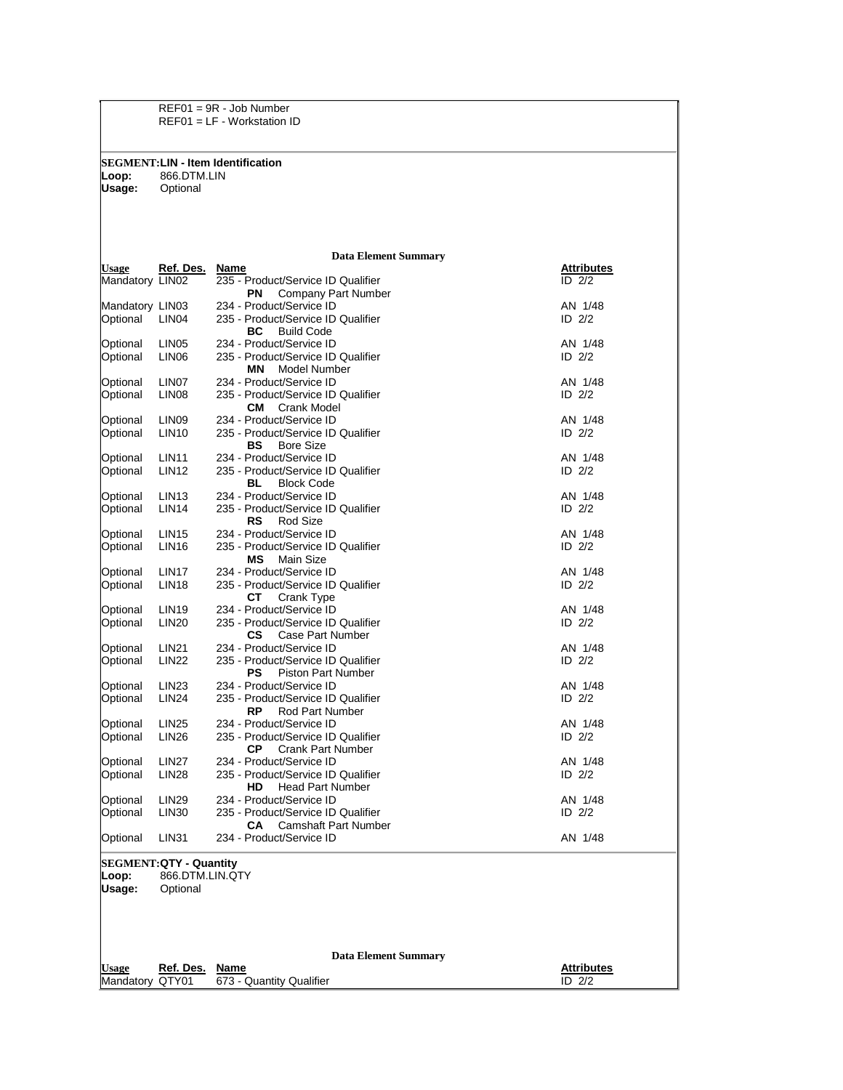REF01 = 9R - Job Number REF01 = LF - Workstation ID

**SEGMENT:LIN - Item Identification**

**Loop:** 866.DTM.LIN **Usage:** Optional

## **Data Element Summary**

| Usage                         | Ref. Des.                   | <b>Name</b>                                                          | <b>Attributes</b>   |  |  |  |  |
|-------------------------------|-----------------------------|----------------------------------------------------------------------|---------------------|--|--|--|--|
| Mandatory LIN02               |                             | 235 - Product/Service ID Qualifier<br>Company Part Number<br>PN      | $ID$ $2/2$          |  |  |  |  |
| Mandatory LIN03               |                             | 234 - Product/Service ID                                             | AN 1/48             |  |  |  |  |
| Optional                      | LIN <sub>04</sub>           | 235 - Product/Service ID Qualifier                                   | ID $2/2$            |  |  |  |  |
|                               |                             | ВC<br><b>Build Code</b>                                              |                     |  |  |  |  |
| Optional                      | LIN <sub>05</sub>           | 234 - Product/Service ID                                             | AN 1/48             |  |  |  |  |
| Optional                      | LIN <sub>06</sub>           | 235 - Product/Service ID Qualifier                                   | ID $2/2$            |  |  |  |  |
|                               |                             | Model Number<br>ΜN                                                   |                     |  |  |  |  |
| Optional                      | LIN07                       | 234 - Product/Service ID                                             | AN 1/48             |  |  |  |  |
| Optional                      | LIN <sub>08</sub>           | 235 - Product/Service ID Qualifier                                   | ID $2/2$            |  |  |  |  |
|                               |                             | <b>Crank Model</b><br>CM.                                            |                     |  |  |  |  |
| Optional                      | LIN09                       | 234 - Product/Service ID                                             | AN 1/48             |  |  |  |  |
| Optional                      | <b>LIN10</b>                | 235 - Product/Service ID Qualifier                                   | ID $2/2$            |  |  |  |  |
| Optional                      | <b>LIN11</b>                | BS<br><b>Bore Size</b><br>234 - Product/Service ID                   | AN 1/48             |  |  |  |  |
| Optional                      | <b>LIN12</b>                | 235 - Product/Service ID Qualifier                                   | ID $2/2$            |  |  |  |  |
|                               |                             | BL<br><b>Block Code</b>                                              |                     |  |  |  |  |
| Optional                      | LIN <sub>13</sub>           | 234 - Product/Service ID                                             | AN 1/48             |  |  |  |  |
| Optional                      | LIN <sub>14</sub>           | 235 - Product/Service ID Qualifier                                   | ID $2/2$            |  |  |  |  |
|                               |                             | RS<br>Rod Size                                                       |                     |  |  |  |  |
| Optional                      | LIN <sub>15</sub>           | 234 - Product/Service ID                                             | AN 1/48             |  |  |  |  |
| Optional                      | <b>LIN16</b>                | 235 - Product/Service ID Qualifier                                   | ID $2/2$            |  |  |  |  |
|                               |                             | МS<br>Main Size                                                      |                     |  |  |  |  |
| Optional                      | LIN <sub>17</sub>           | 234 - Product/Service ID                                             | AN 1/48             |  |  |  |  |
| Optional                      | <b>LIN18</b>                | 235 - Product/Service ID Qualifier                                   | $ID$ $2/2$          |  |  |  |  |
| Optional                      | <b>LIN19</b>                | СT<br>Crank Type<br>234 - Product/Service ID                         |                     |  |  |  |  |
| Optional                      | <b>LIN20</b>                | 235 - Product/Service ID Qualifier                                   | AN 1/48<br>ID $2/2$ |  |  |  |  |
|                               |                             | СS<br>Case Part Number                                               |                     |  |  |  |  |
| Optional                      | <b>LIN21</b>                | 234 - Product/Service ID                                             | AN 1/48             |  |  |  |  |
| Optional                      | <b>LIN22</b>                | 235 - Product/Service ID Qualifier                                   | ID $2/2$            |  |  |  |  |
|                               |                             | <b>Piston Part Number</b><br>PS                                      |                     |  |  |  |  |
| Optional                      | <b>LIN23</b>                | 234 - Product/Service ID                                             | AN 1/48             |  |  |  |  |
| Optional                      | <b>LIN24</b>                | 235 - Product/Service ID Qualifier                                   | ID $2/2$            |  |  |  |  |
|                               |                             | <b>RP</b><br>Rod Part Number                                         |                     |  |  |  |  |
| Optional                      | <b>LIN25</b>                | 234 - Product/Service ID                                             | AN 1/48             |  |  |  |  |
| Optional                      | <b>LIN26</b>                | 235 - Product/Service ID Qualifier<br><b>Crank Part Number</b><br>СP | ID $2/2$            |  |  |  |  |
| Optional                      | <b>LIN27</b>                | 234 - Product/Service ID                                             | AN 1/48             |  |  |  |  |
| Optional                      | <b>LIN28</b>                | 235 - Product/Service ID Qualifier                                   | ID $2/2$            |  |  |  |  |
|                               |                             | <b>Head Part Number</b><br>HD                                        |                     |  |  |  |  |
| Optional                      | LIN <sub>29</sub>           | 234 - Product/Service ID                                             | AN 1/48             |  |  |  |  |
| Optional                      | LIN <sub>30</sub>           | 235 - Product/Service ID Qualifier                                   | ID $2/2$            |  |  |  |  |
|                               |                             | <b>Camshaft Part Number</b><br>CA.                                   |                     |  |  |  |  |
| Optional                      | <b>LIN31</b>                | 234 - Product/Service ID                                             | AN 1/48             |  |  |  |  |
| <b>SEGMENT:QTY - Quantity</b> |                             |                                                                      |                     |  |  |  |  |
| :00D.                         | 866.DTM.LIN.QTY             |                                                                      |                     |  |  |  |  |
| Usage:                        | Optional                    |                                                                      |                     |  |  |  |  |
|                               |                             |                                                                      |                     |  |  |  |  |
|                               |                             |                                                                      |                     |  |  |  |  |
|                               |                             |                                                                      |                     |  |  |  |  |
|                               | <b>Data Element Summary</b> |                                                                      |                     |  |  |  |  |
| Usage                         | Ref. Des. Name              |                                                                      | <b>Attributes</b>   |  |  |  |  |
| Mandatory QTY01               |                             | 673 - Quantity Qualifier                                             | $\overline{ID}$ 2/2 |  |  |  |  |